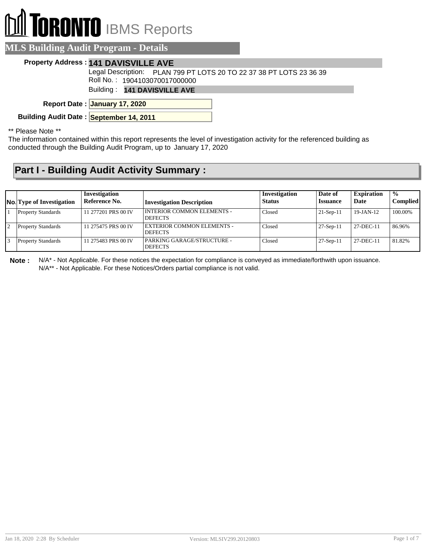# **DRONTO** IBMS Reports

|  | <b>MLS Building Audit Program - Details</b> , |
|--|-----------------------------------------------|
|  |                                               |

### **Property Address : 141 DAVISVILLE AVE**

Legal Description: PLAN 799 PT LOTS 20 TO 22 37 38 PT LOTS 23 36 39

Roll No. : 1904103070017000000

Building : **141 DAVISVILLE AVE**

**January 17, 2020 Report Date :**

**Building Audit Date : September 14, 2011**

#### \*\* Please Note \*\*

The information contained within this report represents the level of investigation activity for the referenced building as conducted through the Building Audit Program, up to January 17, 2020

## **Part I - Building Audit Activity Summary :**

| <b>No.</b> Type of Investigation | Investigation<br>Reference No. | <b>Investigation Description</b>               | Investigation<br><b>Status</b> | Date of<br><b>Issuance</b> | <b>Expiration</b><br>Date | $\frac{0}{0}$<br><b>Complied</b> |
|----------------------------------|--------------------------------|------------------------------------------------|--------------------------------|----------------------------|---------------------------|----------------------------------|
| <b>Property Standards</b>        | 11 277201 PRS 00 IV            | I INTERIOR COMMON ELEMENTS -<br><b>DEFECTS</b> | Closed                         | $21-Sep-11$                | $19$ -JAN-12              | 100.00%                          |
| <b>Property Standards</b>        | 11 275475 PRS 00 IV            | EXTERIOR COMMON ELEMENTS -<br><b>DEFECTS</b>   | Closed                         | $27-Sep-11$                | 27-DEC-11                 | 86.96%                           |
| <b>Property Standards</b>        | 11 275483 PRS 00 IV            | PARKING GARAGE/STRUCTURE -<br><b>DEFECTS</b>   | Closed                         | $27-Sep-11$                | 27-DEC-11                 | 81.82%                           |

**Note :** N/A\* - Not Applicable. For these notices the expectation for compliance is conveyed as immediate/forthwith upon issuance. N/A\*\* - Not Applicable. For these Notices/Orders partial compliance is not valid.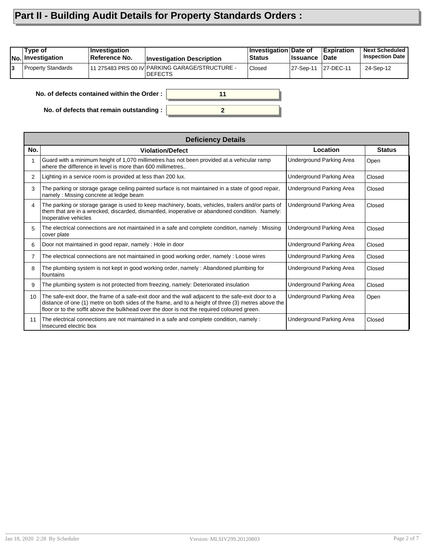## **Part II - Building Audit Details for Property Standards Orders :**

|    | Type of<br><b>No.</b> Investigation | <b>Investigation</b><br>Reference No.      | <b>Investigation Description</b>                                  | <b>Investigation Date of</b><br>Status | <b>∣Issuance</b> | Expiration<br>∣Date | <b>Next Scheduled</b><br><b>Inspection Date</b> |
|----|-------------------------------------|--------------------------------------------|-------------------------------------------------------------------|----------------------------------------|------------------|---------------------|-------------------------------------------------|
| l3 | <b>Property Standards</b>           |                                            | 11 275483 PRS 00 IV PARKING GARAGE/STRUCTURE -<br><b>IDEFECTS</b> | <b>Closed</b>                          | 27-Sep-11        | 27-DEC-11           | 24-Sep-12                                       |
|    |                                     | No. of defects contained within the Order: | 11                                                                |                                        |                  |                     |                                                 |

**2**

**No. of defects that remain outstanding :**

|     | <b>Deficiency Details</b>                                                                                                                                                                                                                                                                                |                          |               |
|-----|----------------------------------------------------------------------------------------------------------------------------------------------------------------------------------------------------------------------------------------------------------------------------------------------------------|--------------------------|---------------|
| No. | <b>Violation/Defect</b>                                                                                                                                                                                                                                                                                  | Location                 | <b>Status</b> |
| 1   | Guard with a minimum height of 1,070 millimetres has not been provided at a vehicular ramp<br>where the difference in level is more than 600 millimetres                                                                                                                                                 | Underground Parking Area | Open          |
| 2   | Lighting in a service room is provided at less than 200 lux.                                                                                                                                                                                                                                             | Underground Parking Area | Closed        |
| 3   | The parking or storage garage ceiling painted surface is not maintained in a state of good repair,<br>namely: Missing concrete at ledge beam                                                                                                                                                             | Underground Parking Area | Closed        |
| 4   | The parking or storage garage is used to keep machinery, boats, vehicles, trailers and/or parts of<br>them that are in a wrecked, discarded, dismantled, inoperative or abandoned condition. Namely:<br>Inoperative vehicles                                                                             | Underground Parking Area | Closed        |
| 5   | The electrical connections are not maintained in a safe and complete condition, namely : Missing<br>cover plate                                                                                                                                                                                          | Underground Parking Area | Closed        |
| 6   | Door not maintained in good repair, namely: Hole in door                                                                                                                                                                                                                                                 | Underground Parking Area | Closed        |
| 7   | The electrical connections are not maintained in good working order, namely: Loose wires                                                                                                                                                                                                                 | Underground Parking Area | Closed        |
| 8   | The plumbing system is not kept in good working order, namely: Abandoned plumbing for<br>l fountains                                                                                                                                                                                                     | Underground Parking Area | Closed        |
| 9   | The plumbing system is not protected from freezing, namely: Deteriorated insulation                                                                                                                                                                                                                      | Underground Parking Area | Closed        |
| 10  | The safe-exit door, the frame of a safe-exit door and the wall adjacent to the safe-exit door to a<br>distance of one (1) metre on both sides of the frame, and to a height of three (3) metres above the<br>floor or to the soffit above the bulkhead over the door is not the required coloured green. | Underground Parking Area | Open          |
| 11  | The electrical connections are not maintained in a safe and complete condition, namely :<br>Insecured electric box                                                                                                                                                                                       | Underground Parking Area | Closed        |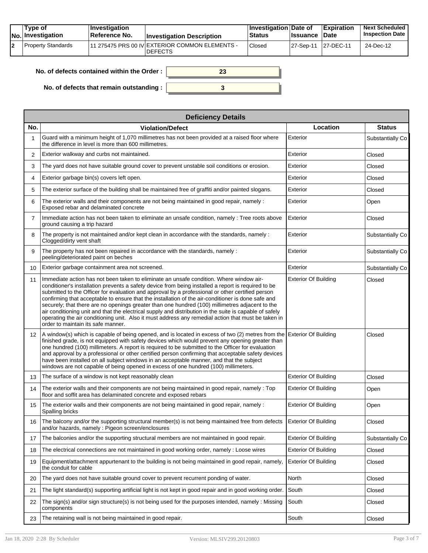|  | Tvpe of<br>$ No $ Investigation | $\vert$ Investigation<br>∣Reference No. | <b>Investigation Description</b>                                  | <b>Investigation Date of</b><br><b>Status</b> | <b>Issuance Date</b> | <b>Expiration</b> | <b>Next Scheduled</b><br><b>Inspection Date</b> |
|--|---------------------------------|-----------------------------------------|-------------------------------------------------------------------|-----------------------------------------------|----------------------|-------------------|-------------------------------------------------|
|  | <b>Property Standards</b>       |                                         | 111 275475 PRS 00 IV EXTERIOR COMMON ELEMENTS -<br><b>DEFECTS</b> | Closed                                        | 27-Sep-11 27-DEC-11  |                   | 24-Dec-12                                       |

| No, of defects contained within the Order: |  |
|--------------------------------------------|--|
| No. of defects that remain outstanding :   |  |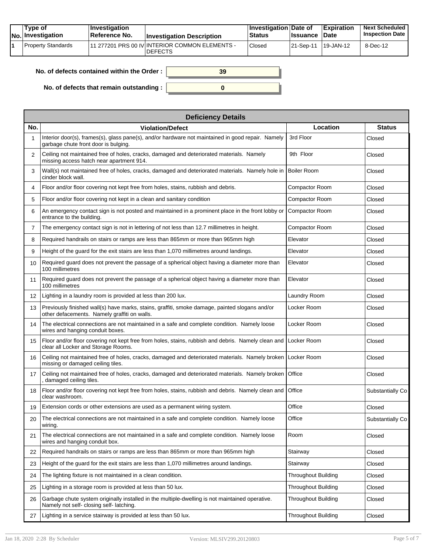| Tvpe of<br>No. Investigation | $\blacksquare$ Investigation<br>Reference No. | <b>Investigation Description</b>                                 | <b>Investigation Date of</b><br><b>Status</b> | <b>Issuance</b> | <b>Expiration</b><br><b>Date</b> | <b>Next Scheduled</b><br><b>Inspection Date</b> |
|------------------------------|-----------------------------------------------|------------------------------------------------------------------|-----------------------------------------------|-----------------|----------------------------------|-------------------------------------------------|
| Property Standards           |                                               | 11 277201 PRS 00 IV INTERIOR COMMON ELEMENTS -<br><b>DEFECTS</b> | Closed                                        | 121-Sep-11 1    | $19 - JAN - 12$                  | 8-Dec-12                                        |

| No. of defects contained within the Order : $\mid$ | 39 |
|----------------------------------------------------|----|
| No. of defects that remain outstanding : $\vert$   |    |

|                | <b>Deficiency Details</b>                                                                                                                      |                            |                  |  |  |  |  |  |
|----------------|------------------------------------------------------------------------------------------------------------------------------------------------|----------------------------|------------------|--|--|--|--|--|
| No.            | <b>Violation/Defect</b>                                                                                                                        | Location                   | <b>Status</b>    |  |  |  |  |  |
|                | Interior door(s), frames(s), glass pane(s), and/or hardware not maintained in good repair. Namely<br>garbage chute front door is bulging.      | 3rd Floor                  | Closed           |  |  |  |  |  |
| 2              | Ceiling not maintained free of holes, cracks, damaged and deteriorated materials. Namely<br>missing access hatch near apartment 914.           | 9th Floor                  | Closed           |  |  |  |  |  |
| 3              | Wall(s) not maintained free of holes, cracks, damaged and deteriorated materials. Namely hole in<br>cinder block wall.                         | <b>Boiler Room</b>         | Closed           |  |  |  |  |  |
| 4              | Floor and/or floor covering not kept free from holes, stains, rubbish and debris.                                                              | Compactor Room             | Closed           |  |  |  |  |  |
| 5              | Floor and/or floor covering not kept in a clean and sanitary condition                                                                         | Compactor Room             | Closed           |  |  |  |  |  |
| 6              | An emergency contact sign is not posted and maintained in a prominent place in the front lobby or<br>entrance to the building.                 | Compactor Room             | Closed           |  |  |  |  |  |
| $\overline{7}$ | The emergency contact sign is not in lettering of not less than 12.7 millimetres in height.                                                    | Compactor Room             | Closed           |  |  |  |  |  |
| 8              | Required handrails on stairs or ramps are less than 865mm or more than 965mm high                                                              | Elevator                   | Closed           |  |  |  |  |  |
| 9              | Height of the quard for the exit stairs are less than 1,070 millimetres around landings.                                                       | Elevator                   | Closed           |  |  |  |  |  |
| 10             | Required guard does not prevent the passage of a spherical object having a diameter more than<br>100 millimetres                               | Elevator                   | Closed           |  |  |  |  |  |
| 11             | Required guard does not prevent the passage of a spherical object having a diameter more than<br>100 millimetres                               | Elevator                   | Closed           |  |  |  |  |  |
| 12             | Lighting in a laundry room is provided at less than 200 lux.                                                                                   | Laundry Room               | Closed           |  |  |  |  |  |
| 13             | Previously finished wall(s) have marks, stains, graffiti, smoke damage, painted slogans and/or<br>other defacements. Namely graffiti on walls. | Locker Room                | Closed           |  |  |  |  |  |
| 14             | The electrical connections are not maintained in a safe and complete condition. Namely loose<br>wires and hanging conduit boxes.               | Locker Room                | Closed           |  |  |  |  |  |
| 15             | Floor and/or floor covering not kept free from holes, stains, rubbish and debris. Namely clean and<br>clear all Locker and Storage Rooms.      | Locker Room                | Closed           |  |  |  |  |  |
| 16             | Ceiling not maintained free of holes, cracks, damaged and deteriorated materials. Namely broken<br>missing or damaged ceiling tiles.           | Locker Room                | Closed           |  |  |  |  |  |
| 17             | Ceiling not maintained free of holes, cracks, damaged and deteriorated materials. Namely broken<br>, damaged ceiling tiles.                    | Office                     | Closed           |  |  |  |  |  |
| 18             | Floor and/or floor covering not kept free from holes, stains, rubbish and debris. Namely clean and<br>clear washroom.                          | Office                     | Substantially Co |  |  |  |  |  |
| 19             | Extension cords or other extensions are used as a permanent wiring system.                                                                     | Office                     | Closed           |  |  |  |  |  |
| 20             | The electrical connections are not maintained in a safe and complete condition. Namely loose<br>wiring.                                        | Office                     | Substantially Co |  |  |  |  |  |
| 21             | The electrical connections are not maintained in a safe and complete condition. Namely loose<br>wires and hanging conduit box.                 | Room                       | Closed           |  |  |  |  |  |
| 22             | Required handrails on stairs or ramps are less than 865mm or more than 965mm high                                                              | Stairway                   | Closed           |  |  |  |  |  |
| 23             | Height of the guard for the exit stairs are less than 1,070 millimetres around landings.                                                       | Stairway                   | Closed           |  |  |  |  |  |
| 24             | The lighting fixture is not maintained in a clean condition.                                                                                   | <b>Throughout Building</b> | Closed           |  |  |  |  |  |
| 25             | Lighting in a storage room is provided at less than 50 lux.                                                                                    | <b>Throughout Building</b> | Closed           |  |  |  |  |  |
| 26             | Garbage chute system originally installed in the multiple-dwelling is not maintained operative.<br>Namely not self- closing self- latching.    | <b>Throughout Building</b> | Closed           |  |  |  |  |  |
| 27             | Lighting in a service stairway is provided at less than 50 lux.                                                                                | <b>Throughout Building</b> | Closed           |  |  |  |  |  |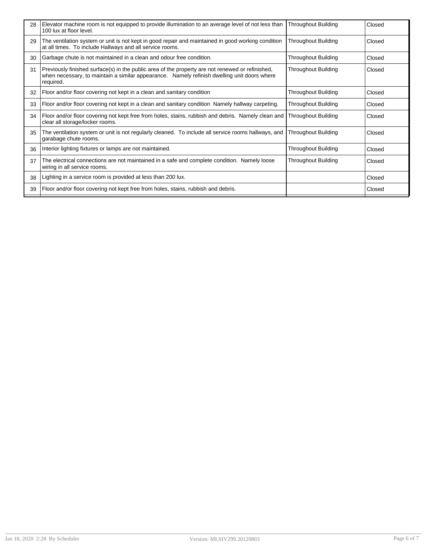| 28 | Elevator machine room is not equipped to provide illumination to an average level of not less than<br>100 lux at floor level.                                                                                | <b>Throughout Building</b> | Closed |
|----|--------------------------------------------------------------------------------------------------------------------------------------------------------------------------------------------------------------|----------------------------|--------|
| 29 | The ventilation system or unit is not kept in good repair and maintained in good working condition<br>at all times. To include Hallways and all service rooms.                                               | <b>Throughout Building</b> | Closed |
| 30 | Garbage chute is not maintained in a clean and odour free condition.                                                                                                                                         | <b>Throughout Building</b> | Closed |
| 31 | Previously finished surface(s) in the public area of the property are not renewed or refinished,<br>when necessary, to maintain a similar appearance. Namely refinish dwelling unit doors where<br>required. | <b>Throughout Building</b> | Closed |
| 32 | Floor and/or floor covering not kept in a clean and sanitary condition                                                                                                                                       | <b>Throughout Building</b> | Closed |
| 33 | Floor and/or floor covering not kept in a clean and sanitary condition Namely hallway carpeting.                                                                                                             | <b>Throughout Building</b> | Closed |
| 34 | Floor and/or floor covering not kept free from holes, stains, rubbish and debris. Namely clean and  Throughout Building<br>clear all storage/locker rooms.                                                   |                            | Closed |
| 35 | The ventilation system or unit is not regularly cleaned. To include all service rooms hallways, and<br>garabage chute rooms.                                                                                 | <b>Throughout Building</b> | Closed |
| 36 | Interior lighting fixtures or lamps are not maintained.                                                                                                                                                      | <b>Throughout Building</b> | Closed |
| 37 | The electrical connections are not maintained in a safe and complete condition. Namely loose<br>wiring in all service rooms.                                                                                 | <b>Throughout Building</b> | Closed |
| 38 | Lighting in a service room is provided at less than 200 lux.                                                                                                                                                 |                            | Closed |
| 39 | Floor and/or floor covering not kept free from holes, stains, rubbish and debris.                                                                                                                            |                            | Closed |